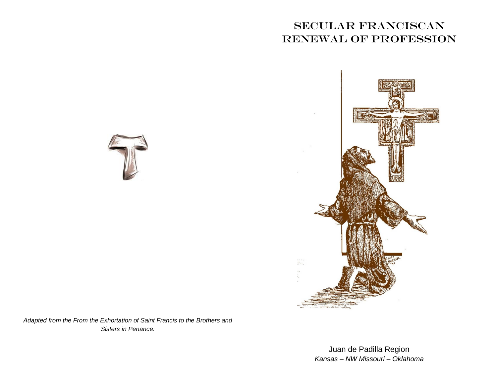## Secular Franciscan Renewal of Profession





*Adapted from the From the Exhortation of Saint Francis to the Brothers and Sisters in Penance:*

> Juan de Padilla Region *Kansas – NW Missouri – Oklahoma*